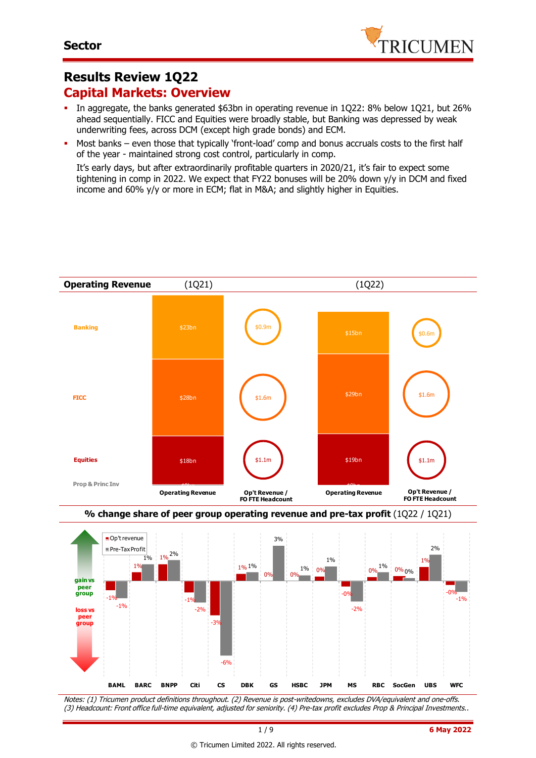

# **Results Review 1Q22 Capital Markets: Overview**

- In aggregate, the banks generated \$63bn in operating revenue in 1Q22: 8% below 1Q21, but 26% ahead sequentially. FICC and Equities were broadly stable, but Banking was depressed by weak underwriting fees, across DCM (except high grade bonds) and ECM.
- Most banks even those that typically 'front-load' comp and bonus accruals costs to the first half of the year - maintained strong cost control, particularly in comp.

It's early days, but after extraordinarily profitable quarters in 2020/21, it's fair to expect some tightening in comp in 2022. We expect that FY22 bonuses will be 20% down y/y in DCM and fixed income and 60% y/y or more in ECM; flat in M&A; and slightly higher in Equities.





Notes: (1) Tricumen product definitions throughout. (2) Revenue is post-writedowns, excludes DVA/equivalent and one-offs. (3) Headcount: Front office full-time equivalent, adjusted for seniority. (4) Pre-tax profit excludes Prop & Principal Investments..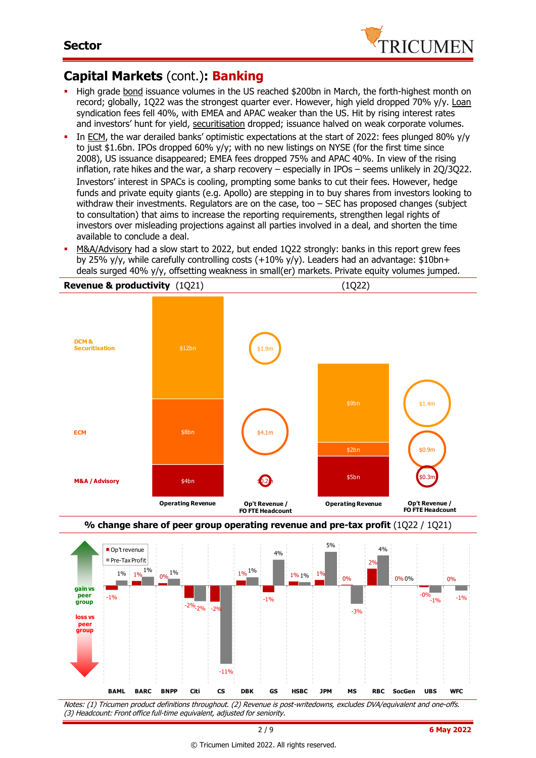

### **Capital Markets** (cont.)**: Banking**

- High grade bond issuance volumes in the US reached \$200bn in March, the forth-highest month on record; globally, 1Q22 was the strongest quarter ever. However, high yield dropped 70% y/y. Loan syndication fees fell 40%, with EMEA and APAC weaker than the US. Hit by rising interest rates and investors' hunt for yield, securitisation dropped; issuance halved on weak corporate volumes.
- In ECM, the war derailed banks' optimistic expectations at the start of 2022: fees plunged 80% y/y to just \$1.6bn. IPOs dropped 60% y/y; with no new listings on NYSE (for the first time since 2008), US issuance disappeared; EMEA fees dropped 75% and APAC 40%. In view of the rising inflation, rate hikes and the war, a sharp recovery – especially in IPOs – seems unlikely in 2Q/3Q22. Investors' interest in SPACs is cooling, prompting some banks to cut their fees. However, hedge funds and private equity giants (e.g. Apollo) are stepping in to buy shares from investors looking to withdraw their investments. Regulators are on the case, too – SEC has proposed changes (subject to consultation) that aims to increase the reporting requirements, strengthen legal rights of investors over misleading projections against all parties involved in a deal, and shorten the time available to conclude a deal.
- M&A/Advisory had a slow start to 2022, but ended 1Q22 strongly: banks in this report grew fees by 25% y/y, while carefully controlling costs (+10% y/y). Leaders had an advantage: \$10bn+ deals surged 40% y/y, offsetting weakness in small(er) markets. Private equity volumes jumped.







Notes: (1) Tricumen product definitions throughout. (2) Revenue is post-writedowns, excludes DVA/equivalent and one-offs. (3) Headcount: Front office full-time equivalent, adjusted for seniority.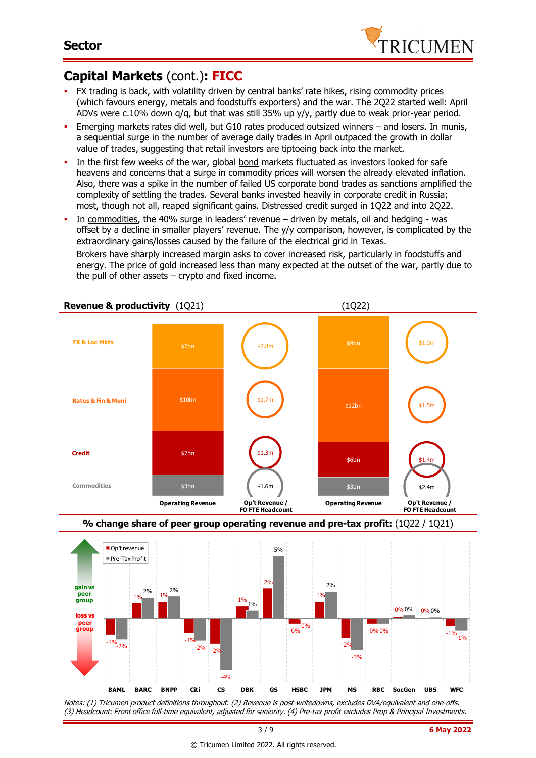

# **Capital Markets** (cont.)**: FICC**

-1% -2%

-1%

-2%

 $-20$ 

- FX trading is back, with volatility driven by central banks' rate hikes, rising commodity prices (which favours energy, metals and foodstuffs exporters) and the war. The 2Q22 started well: April ADVs were c.10% down q/q, but that was still 35% up y/y, partly due to weak prior-year period.
- **Emerging markets rates did well, but G10 rates produced outsized winners and losers. In munis,** a sequential surge in the number of average daily trades in April outpaced the growth in dollar value of trades, suggesting that retail investors are tiptoeing back into the market.
- In the first few weeks of the war, global bond markets fluctuated as investors looked for safe heavens and concerns that a surge in commodity prices will worsen the already elevated inflation. Also, there was a spike in the number of failed US corporate bond trades as sanctions amplified the complexity of settling the trades. Several banks invested heavily in corporate credit in Russia; most, though not all, reaped significant gains. Distressed credit surged in 1Q22 and into 2Q22.
- In commodities, the 40% surge in leaders' revenue driven by metals, oil and hedging was offset by a decline in smaller players' revenue. The y/y comparison, however, is complicated by the extraordinary gains/losses caused by the failure of the electrical grid in Texas.

Brokers have sharply increased margin asks to cover increased risk, particularly in foodstuffs and energy. The price of gold increased less than many expected at the outset of the war, partly due to the pull of other assets – crypto and fixed income.



Notes: (1) Tricumen product definitions throughout. (2) Revenue is post-writedowns, excludes DVA/equivalent and one-offs. -4% -3% **BAML BARC BNPP Citi CS DBK GS HSBC JPM MS RBC SocGen UBS WFC**

-2%

(3) Headcount: Front office full-time equivalent, adjusted for seniority. (4) Pre-tax profit excludes Prop & Principal Investments.

-1%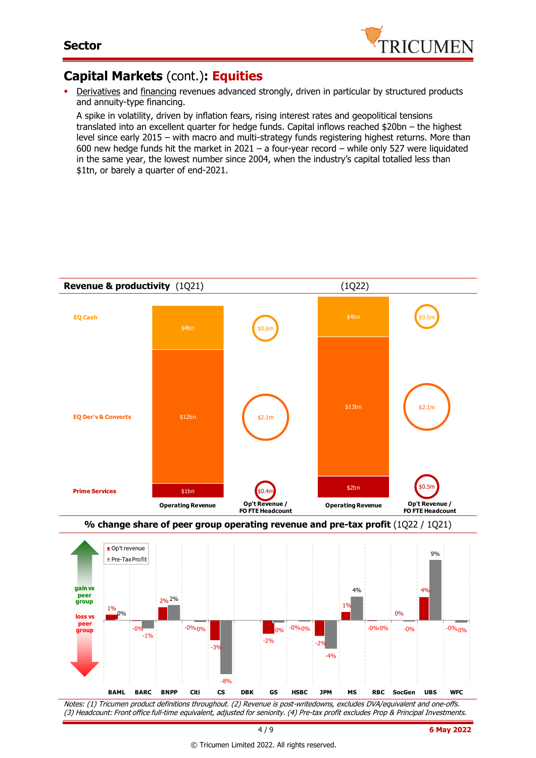

### **Capital Markets** (cont.)**: Equities**

Derivatives and financing revenues advanced strongly, driven in particular by structured products and annuity-type financing.

A spike in volatility, driven by inflation fears, rising interest rates and geopolitical tensions translated into an excellent quarter for hedge funds. Capital inflows reached \$20bn – the highest level since early 2015 – with macro and multi-strategy funds registering highest returns. More than 600 new hedge funds hit the market in 2021 – a four-year record – while only 527 were liquidated in the same year, the lowest number since 2004, when the industry's capital totalled less than \$1tn, or barely a quarter of end-2021.



4 / 9 **6 May 2022**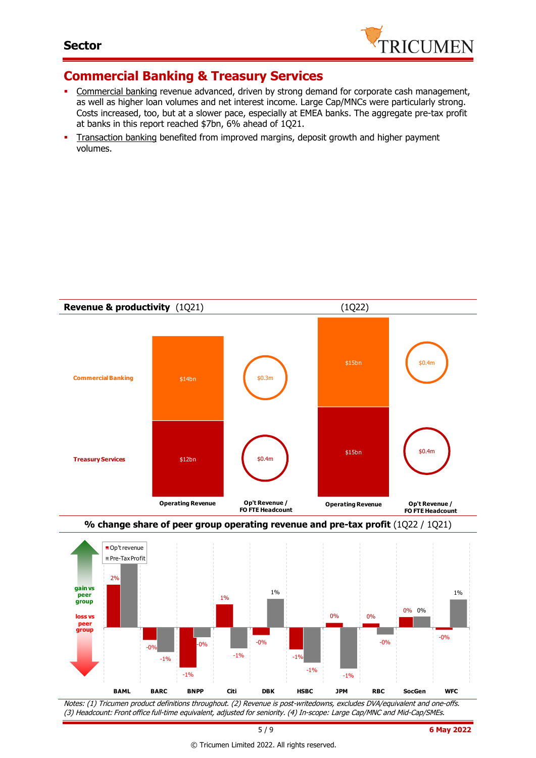

### **Commercial Banking & Treasury Services**

- Commercial banking revenue advanced, driven by strong demand for corporate cash management, as well as higher loan volumes and net interest income. Large Cap/MNCs were particularly strong. Costs increased, too, but at a slower pace, especially at EMEA banks. The aggregate pre-tax profit at banks in this report reached \$7bn, 6% ahead of 1Q21.
- **Transaction banking benefited from improved margins, deposit growth and higher payment** volumes.



Notes: (1) Tricumen product definitions throughout. (2) Revenue is post-writedowns, excludes DVA/equivalent and one-offs. (3) Headcount: Front office full-time equivalent, adjusted for seniority. (4) In-scope: Large Cap/MNC and Mid-Cap/SMEs.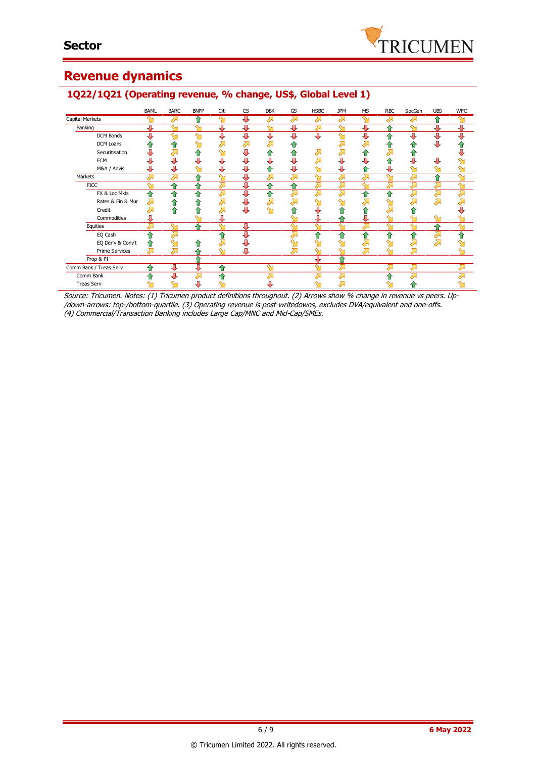

# **Revenue dynamics**

#### **1Q22/1Q21 (Operating revenue, % change, US\$, Global Level 1)**

|                        | BAML | <b>BARC</b> | <b>BNPP</b>        | Citi         | <b>CS</b> | <b>DBK</b>   | GS           | <b>HSBC</b> | <b>JPM</b> | <b>MS</b> | <b>RBC</b>    | SocGen    | <b>UBS</b>      | <b>WFC</b>   |
|------------------------|------|-------------|--------------------|--------------|-----------|--------------|--------------|-------------|------------|-----------|---------------|-----------|-----------------|--------------|
| Capital Markets        | ∾    | ᄼ           | ⇑                  | $\mathbf{N}$ | ⊕         | ⇗            | ⇗            | ᇯ           | 运          | ∾         | $\mathcal{L}$ | $\lambda$ | ⇑               | ∾            |
| Banking                | ß    |             | $\scriptstyle\sim$ | J            |           | ∾            | π            | ∽           | ∾          |           |               | ∾         | π               | ⊕            |
| DCM Bonds              | Л    | ∾           | ↬                  | ⇩            | J         | ⊕            | J            | ⊕           | ள          | J         |               | Д         | J               | J            |
| DCM Loans              |      |             | ⇘                  | <del>⊼</del> | ᇧ         | ╱┑           |              |             |            |           |               |           |                 |              |
| Securitisation         |      | ᅬ           | ⋒                  | ∾            | ⊕         | ⇧            |              | ↗           | ⋝          | 1 r       |               |           |                 |              |
| <b>ECM</b>             |      |             | П                  |              |           |              |              | ⋝           |            |           |               |           |                 |              |
| M&A / Advis            |      |             |                    |              |           |              |              | ∾           |            |           |               |           |                 |              |
| Markets                |      |             |                    | $\mathbf{V}$ |           |              |              | ∾           |            |           |               |           |                 |              |
| <b>FICC</b>            |      |             | ≏                  | ⇗            |           |              |              | ⋝           | ⋝          |           |               | Σ         | ⋝               | ∾            |
| FX & Loc Mkts          | ⇑    | 10          | ⇑                  | ⇗            | ⇩         | ⇑            | ↗            | Σ           | ⋝          | ⇑         |               | Σ         | <del>द</del> ्र | <del>⊼</del> |
| Rates & Fin & Mur      | ᅬ    | 1ì          | ١r                 | 运            |           | <del>⊼</del> | <del>ᅎ</del> | ഷ           | ∾          | λ         |               |           | ⇗               | Σ            |
| Credit                 | Д    | ⇑           | n                  | ⋝            | ⇩         | ↬            |              |             |            |           |               |           |                 |              |
| Commodities            |      |             |                    | Д            |           |              |              | л           |            |           |               |           | ∾               |              |
| Equities               |      |             | ♠                  | ∾            | 具         |              |              | ∾           | ∾          |           |               | ∼         |                 |              |
| EQ Cash                |      |             |                    |              |           |              |              | ⇑           |            |           |               |           |                 |              |
| EQ Der'v & Conv't      | ⇑    | ↬           | ⋒                  |              |           |              |              | ↬           | ∾          | Σ         | ∾             | Σ         | ⇗               |              |
| Prime Services         | 对    | 对           |                    |              |           |              | 对            | ∾           |            |           |               | Σ         |                 |              |
| Prop & PI              |      |             |                    |              |           |              |              |             |            |           |               |           |                 |              |
| Comm Bank / Treas Serv |      |             | IJ,                |              |           |              |              | ∾           | 运          |           |               |           |                 |              |
| Comm Bank              |      |             | ∽                  |              |           |              |              |             | ╭          |           |               |           |                 |              |
| <b>Treas Serv</b>      |      |             | U                  |              |           |              |              |             | $\sum$     |           |               |           |                 |              |

Source: Tricumen. Notes: (1) Tricumen product definitions throughout. (2) Arrows show % change in revenue vs peers. Up- /down-arrows: top-/bottom-quartile. (3) Operating revenue is post-writedowns, excludes DVA/equivalent and one-offs. (4) Commercial/Transaction Banking includes Large Cap/MNC and Mid-Cap/SMEs.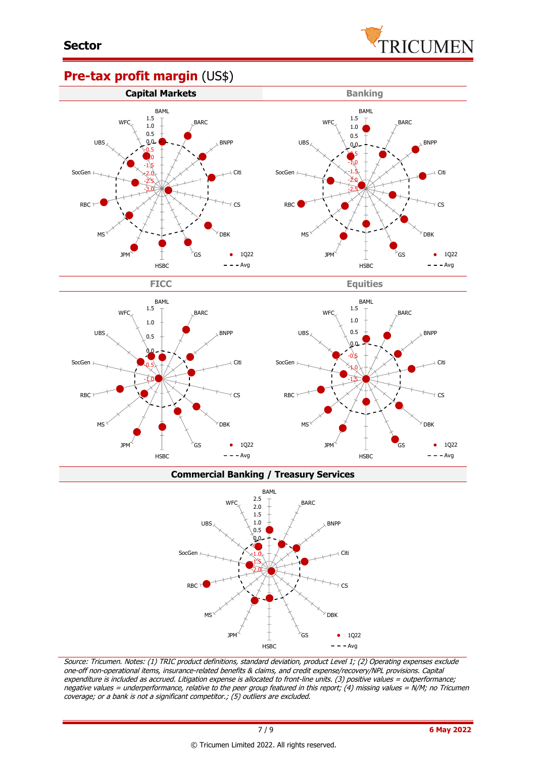

GS

1Q22  $- - Avg$ 

 $\bullet$ 

HSBC

JPM

MS

### **Pre-tax profit margin** (US\$)



**Commercial Banking / Treasury Services**

1Q22  $- -$  Avg

 $\bullet$ 

GS

HSBC

JPM



Source: Tricumen. Notes: (1) TRIC product definitions, standard deviation, product Level 1; (2) Operating expenses exclude one-off non-operational items, insurance-related benefits & claims, and credit expense/recovery/NPL provisions. Capital expenditure is included as accrued. Litigation expense is allocated to front-line units. (3) positive values = outperformance; negative values = underperformance, relative to the peer group featured in this report; (4) missing values = N/M; no Tricumen coverage; or a bank is not a significant competitor.; (5) outliers are excluded.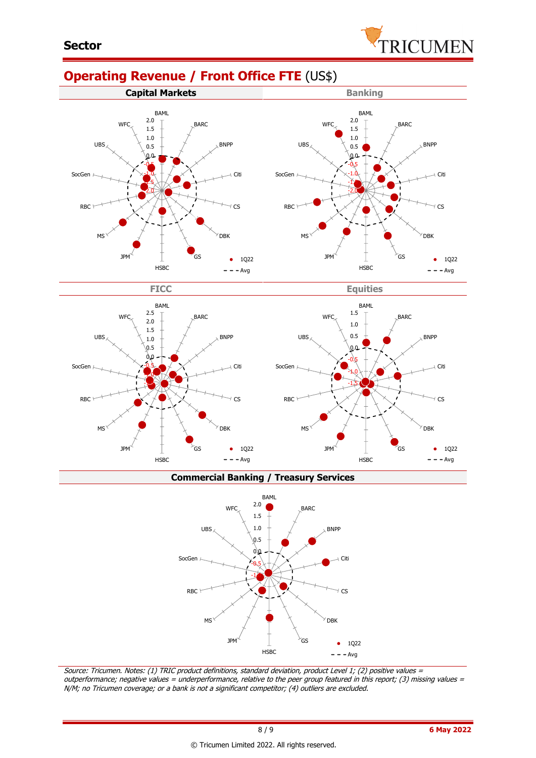# **Operating Revenue / Front Office FTE** (US\$)





BAML BAML 2.5 1.5 **WFC** BARC **WFC** BARC 2.0 1.0 1.5 0.5 UBS BNPP UBS BNPP 1.0  $Q.5$ 0.0  $0<sub>0</sub>$  $-0.5$ SocGen  $\vdash$ Citi SocGen Citi -0.5 -1.0 -1.0  $-1$ -1.5 RBC RBC CS C<sub>S</sub> MS DBK MS DBK **JPM**  $\epsilon$ ss  $\bullet$ 1Q22 JPM  $\epsilon$  $\bullet$  1Q22 HSBC  $- - - Avg$ HSBC  $- - -$  Avg

**Commercial Banking / Treasury Services**



Source: Tricumen. Notes: (1) TRIC product definitions, standard deviation, product Level 1; (2) positive values <sup>=</sup> outperformance; negative values = underperformance, relative to the peer group featured in this report; (3) missing values = N/M; no Tricumen coverage; or a bank is not a significant competitor; (4) outliers are excluded.